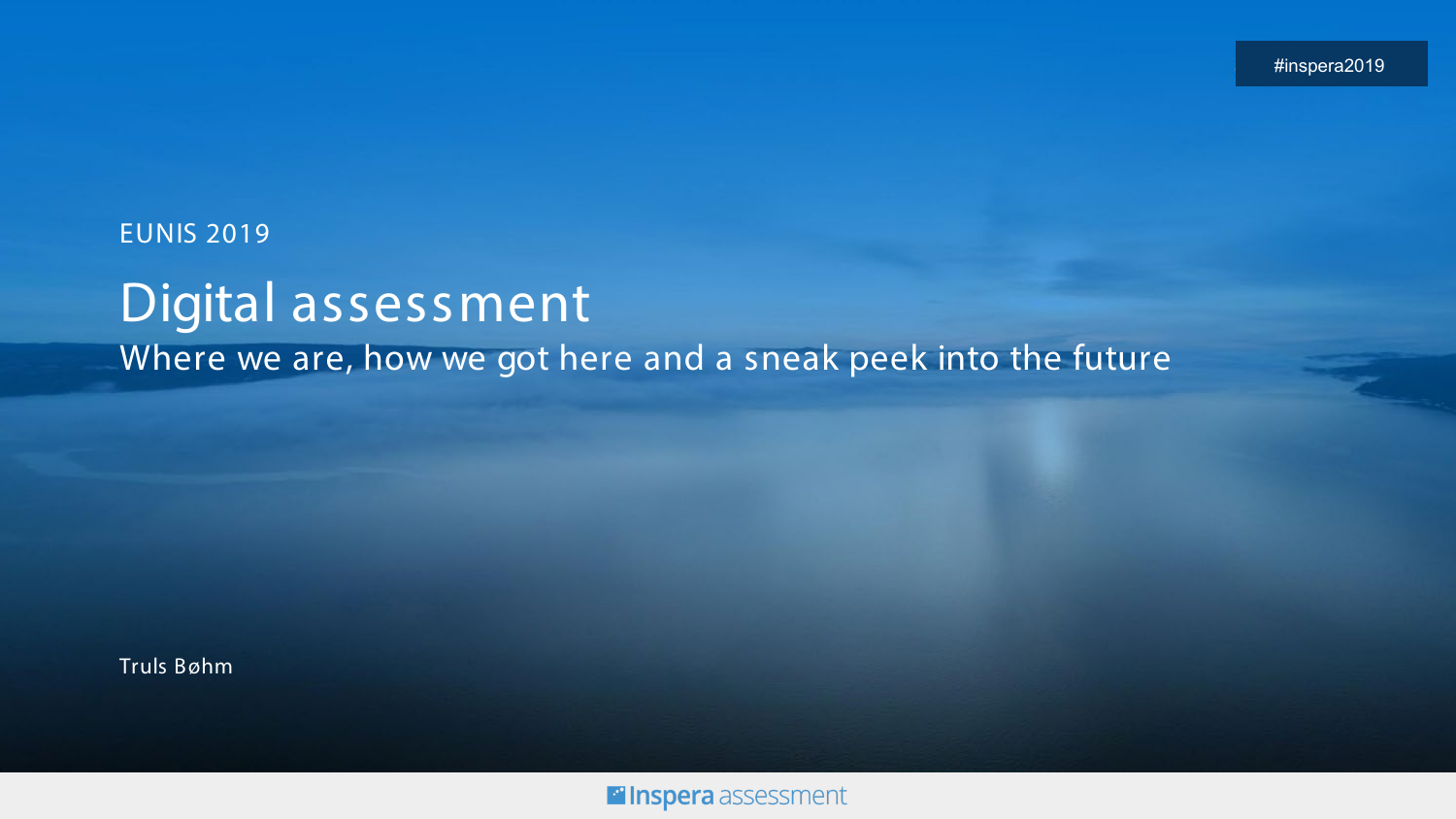#### EUNIS 2019

### Digital assessment Where we are, how we got here and a sneak peek into the future

Truls Bøhm

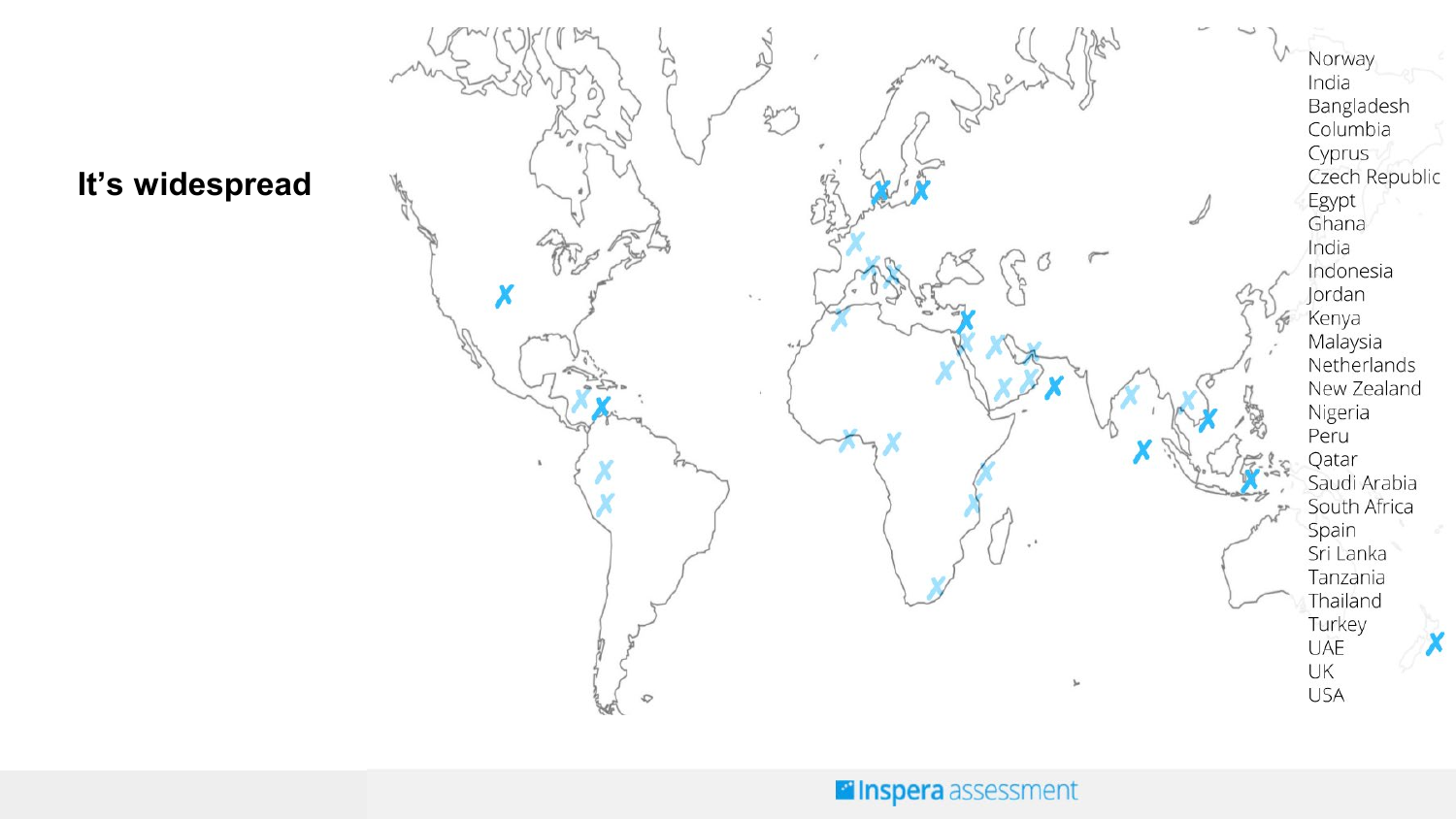

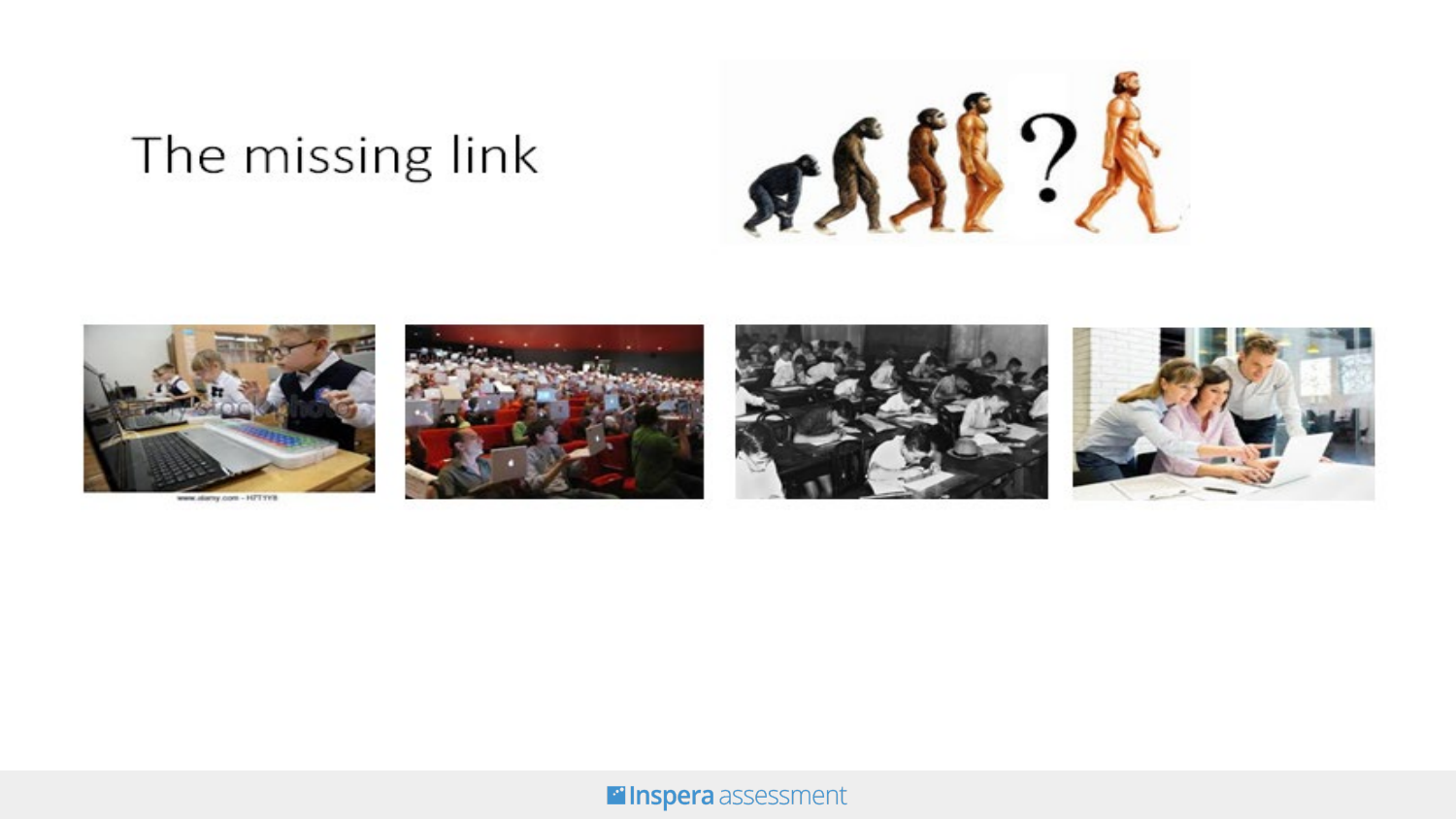# The missing link





**Filnspera** assessment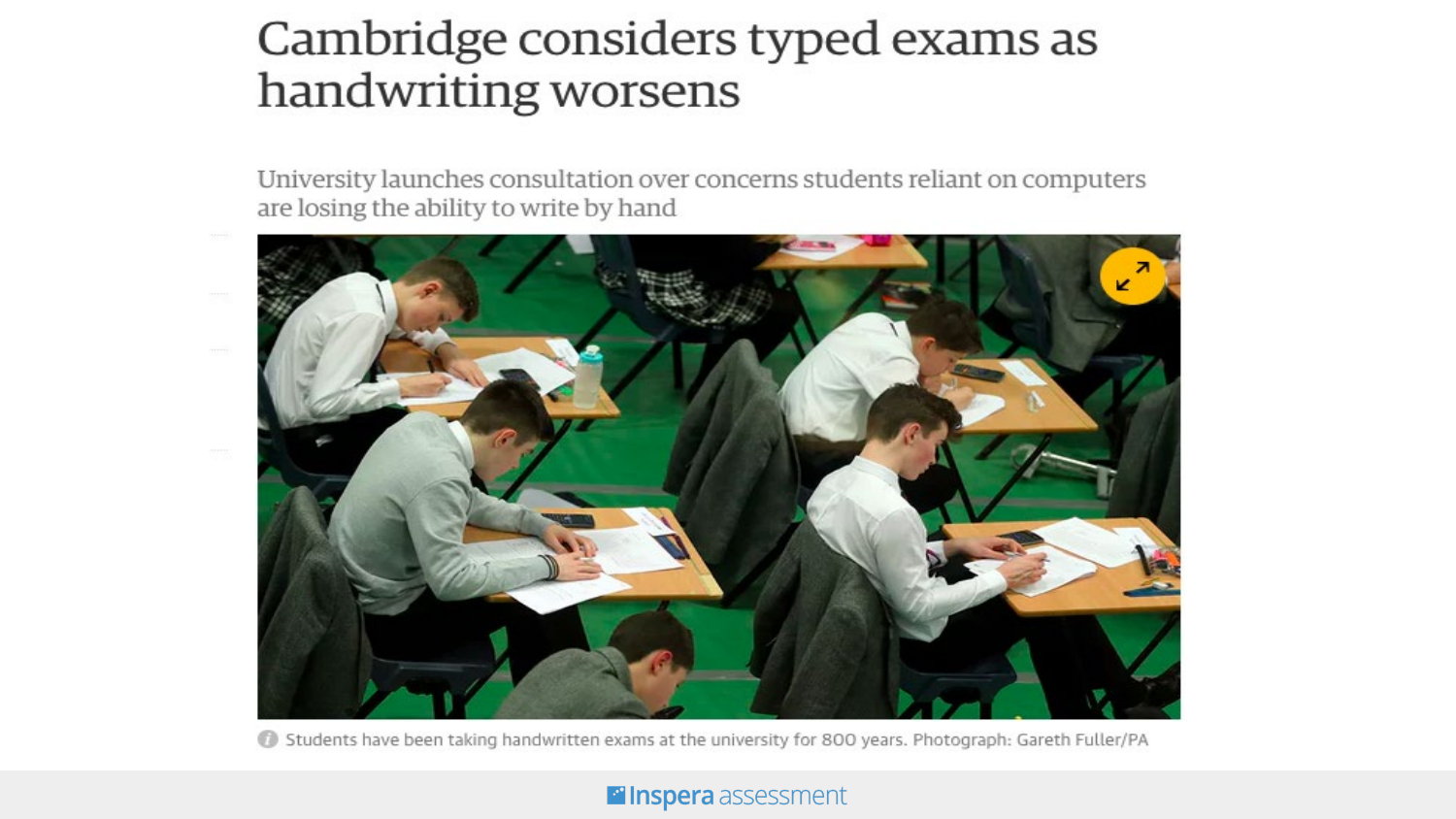### Cambridge considers typed exams as handwriting worsens

University launches consultation over concerns students reliant on computers are losing the ability to write by hand



Students have been taking handwritten exams at the university for 800 years. Photograph: Gareth Fuller/PA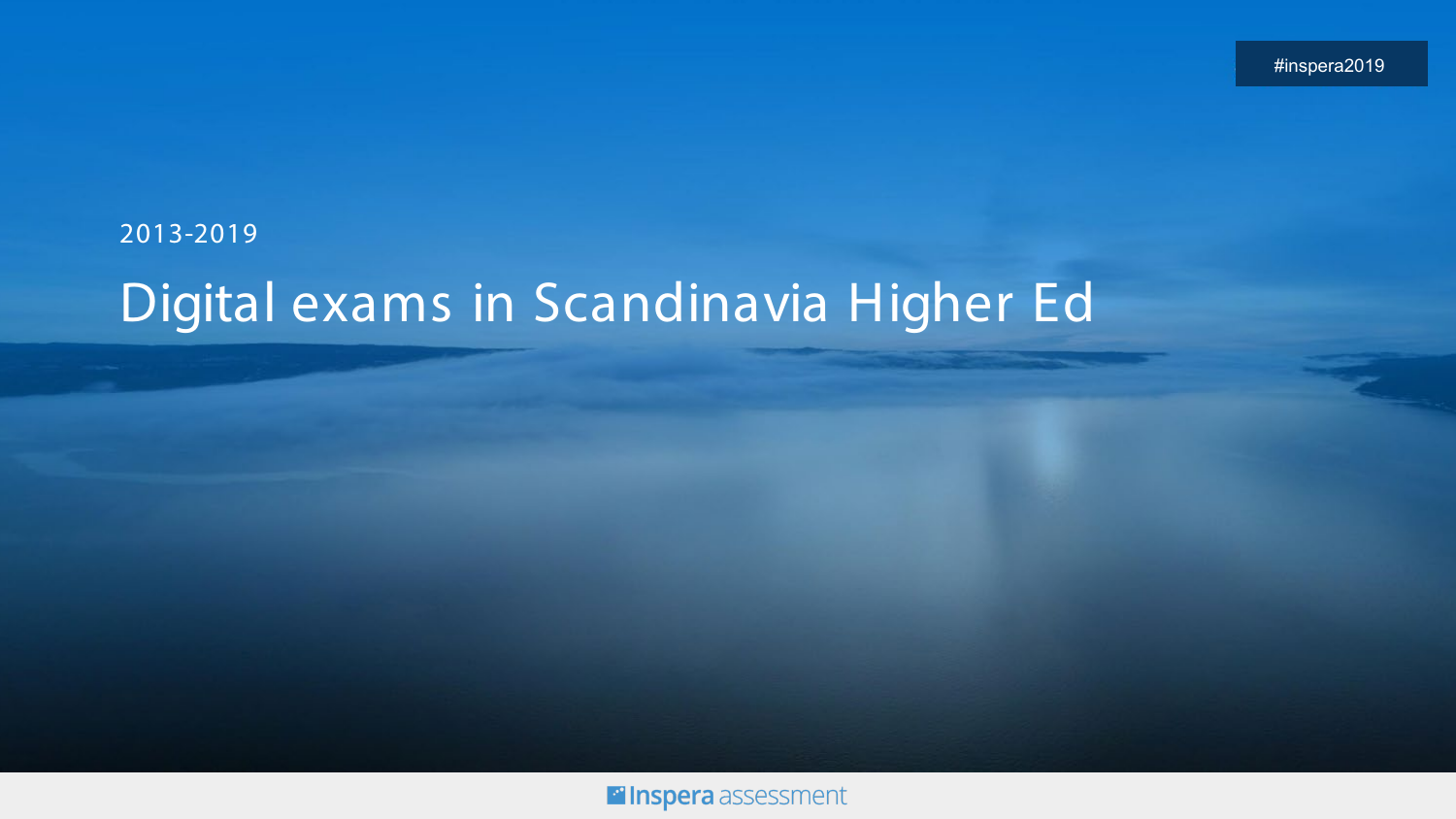### 2013-2019 Digital exams in Scandinavia Higher Ed

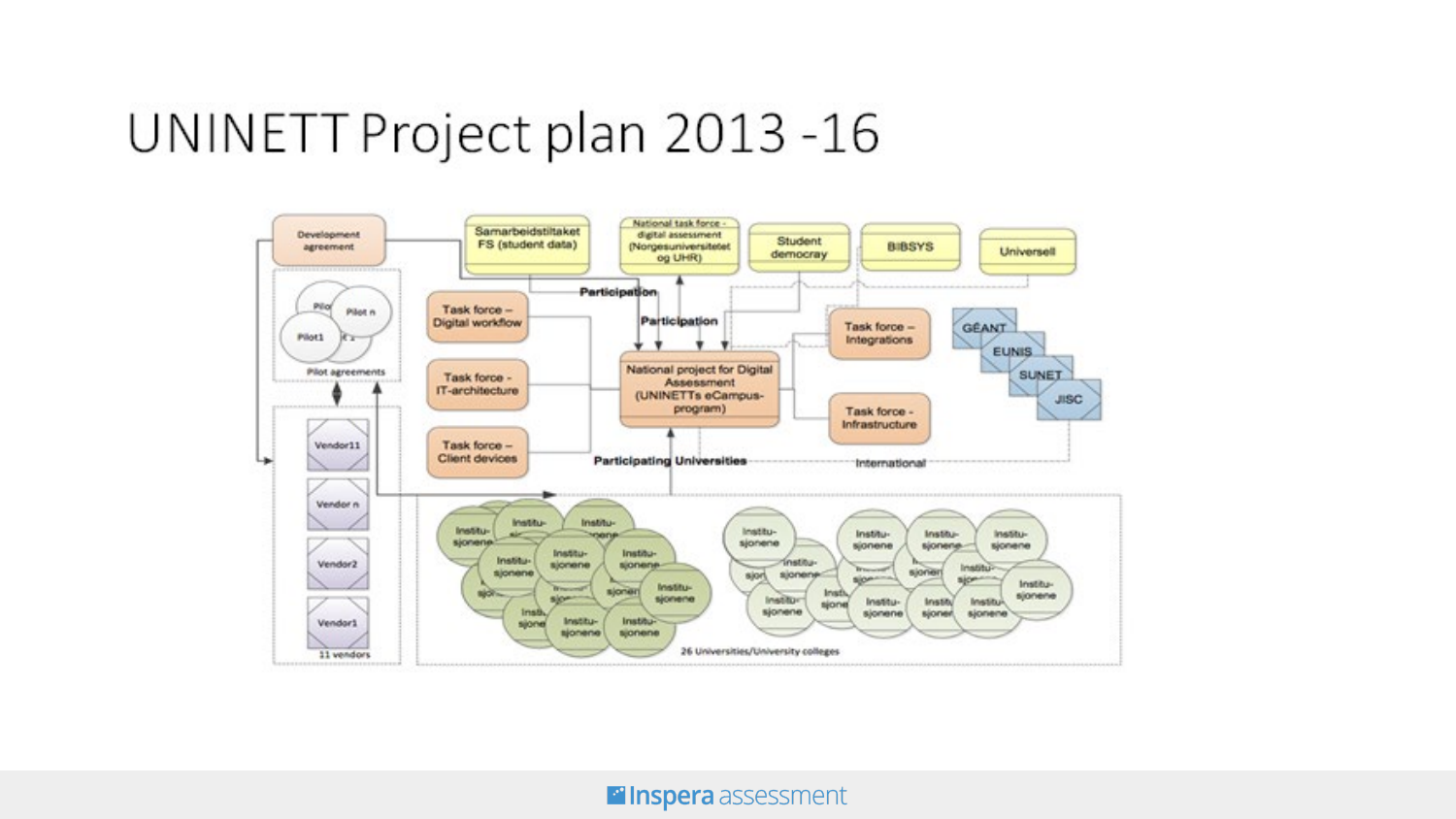### UNINETT Project plan 2013 -16

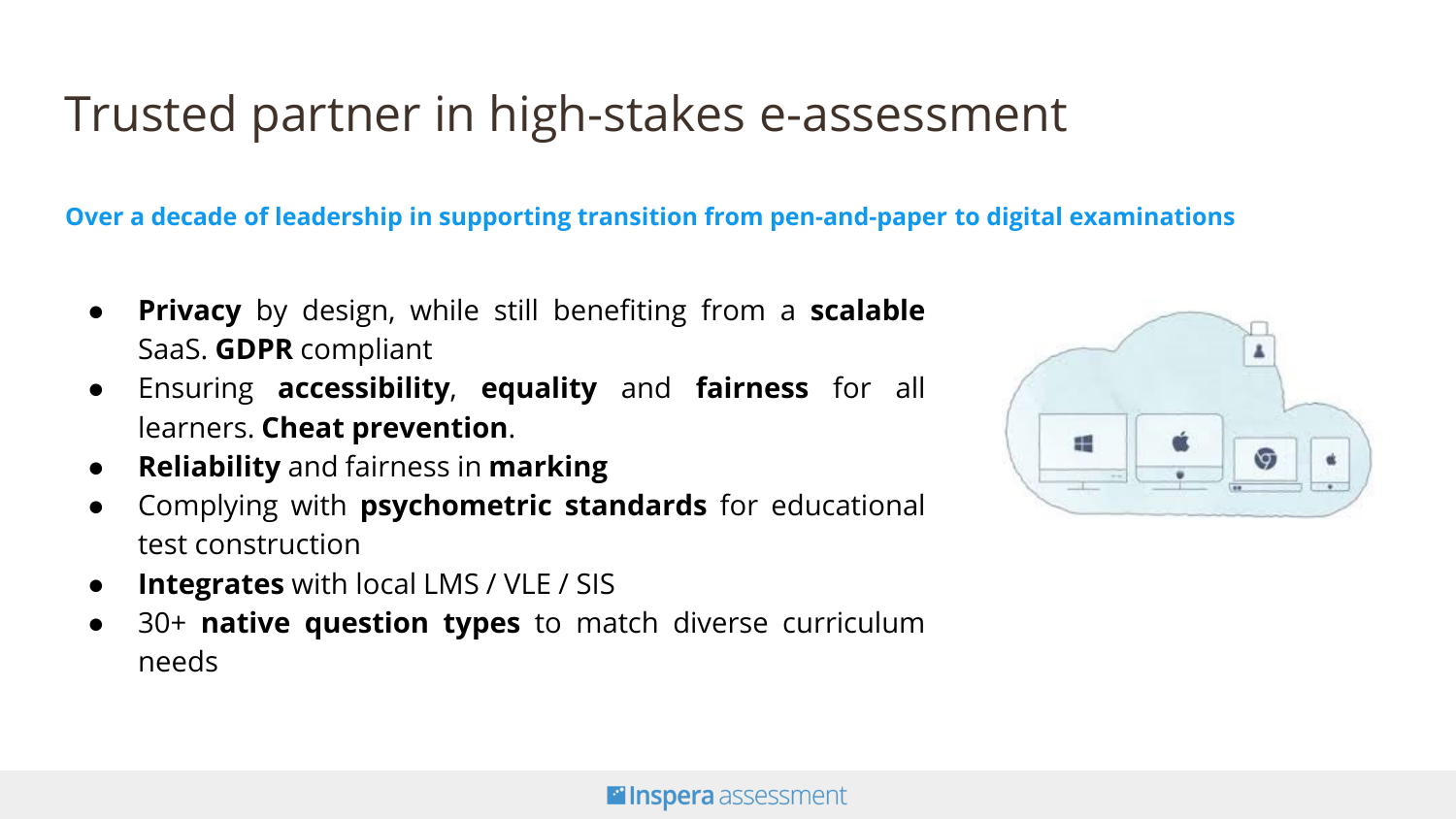## Trusted partner in high-stakes e-assessment

**Over a decade of leadership in supporting transition from pen-and-paper to digital examinations**

- **Privacy** by design, while still benefiting from a **scalable** SaaS. **GDPR** compliant
- Ensuring **accessibility**, **equality** and **fairness** for all learners. **Cheat prevention**.
- **Reliability** and fairness in **marking**
- Complying with **psychometric standards** for educational test construction
- **Integrates** with local LMS / VLE / SIS
- 30+ **native question types** to match diverse curriculum needs

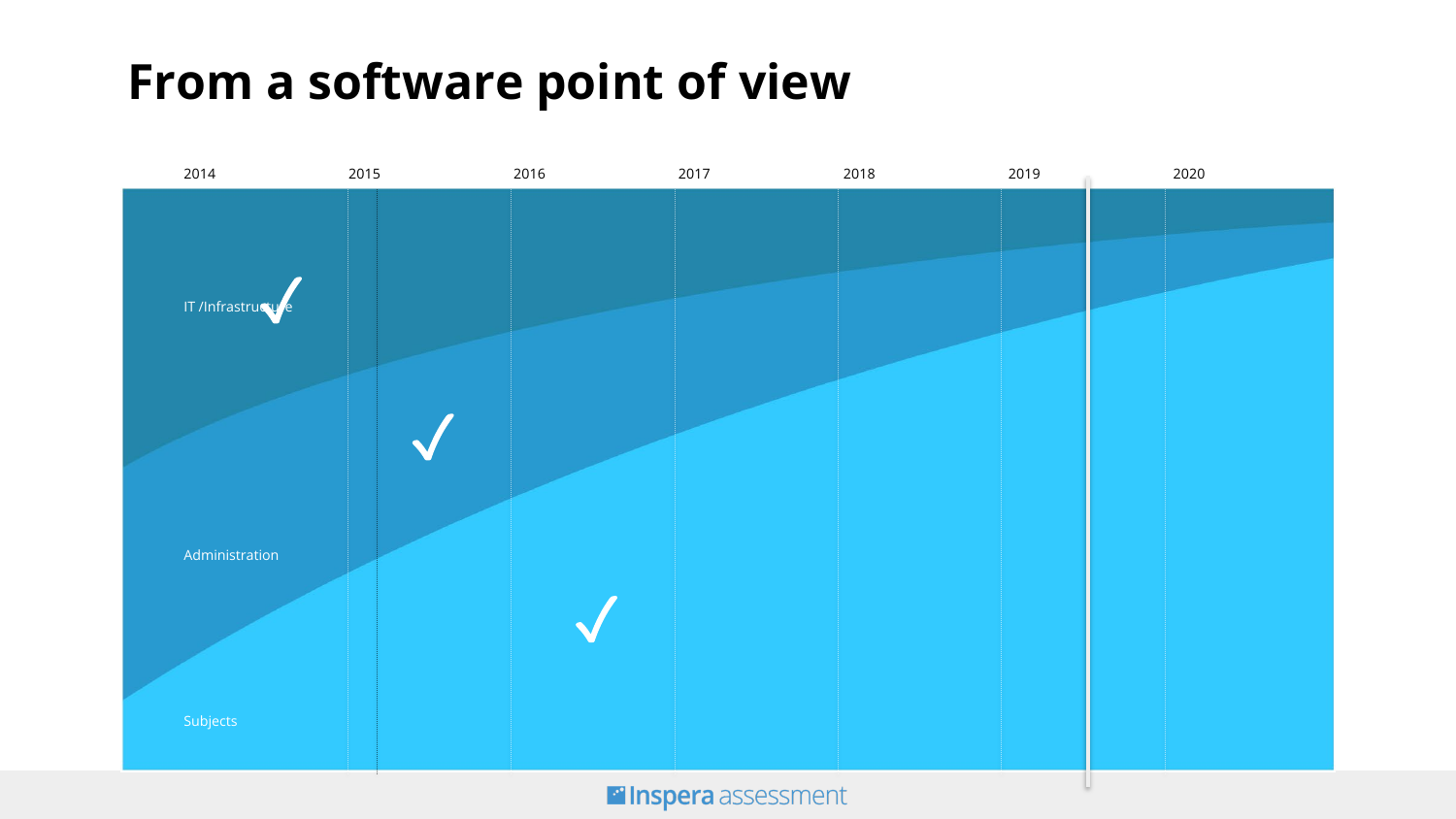## **From a software point of view**

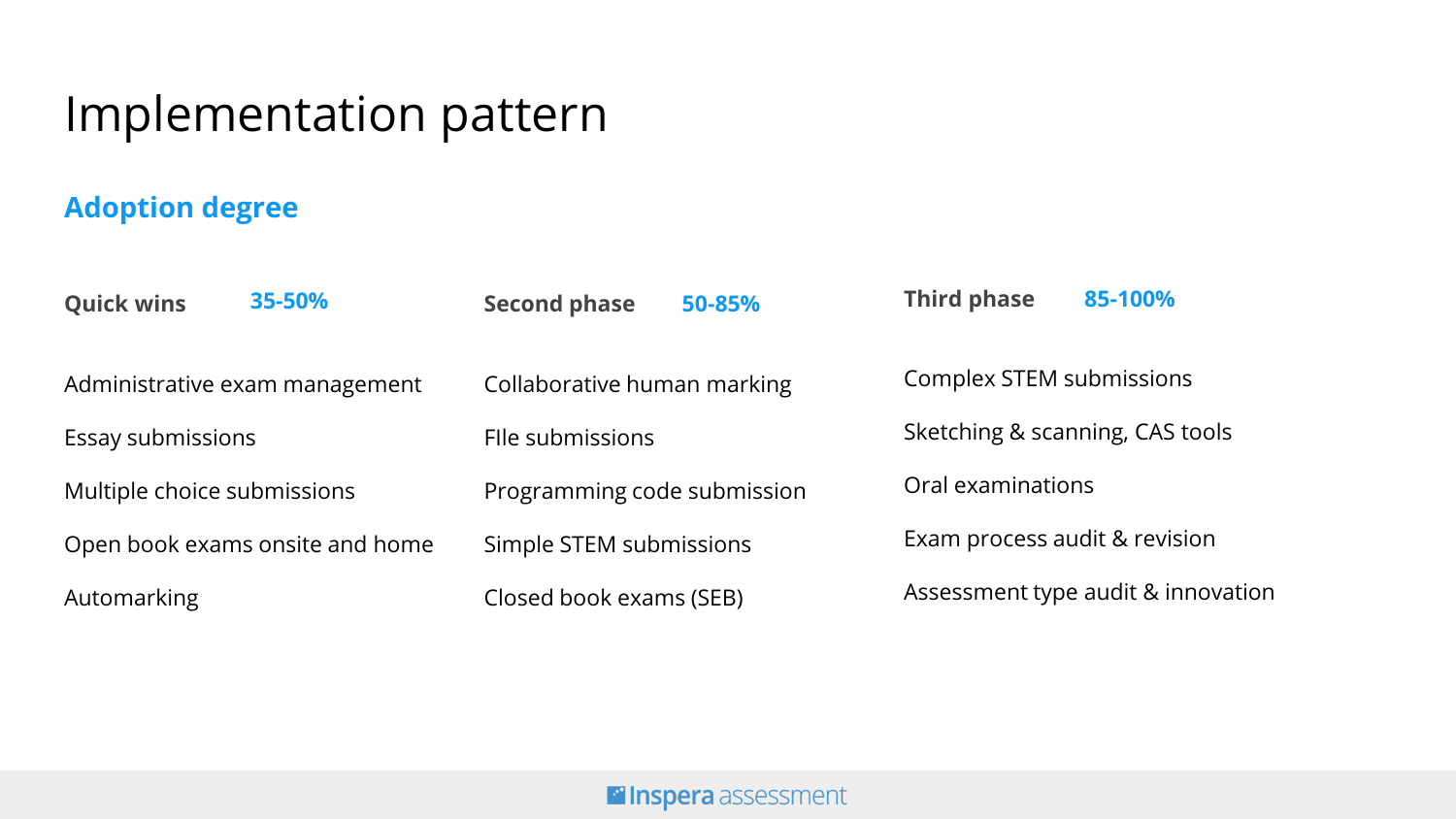### Implementation pattern

#### **Adoption degree**

| <b>Quick wins</b>               | 35-50% | <b>Second phase</b>         | 50-85% | <b>Third phase</b>                 | 85-100% |
|---------------------------------|--------|-----------------------------|--------|------------------------------------|---------|
| Administrative exam management  |        | Collaborative human marking |        | Complex STEM submissions           |         |
| Essay submissions               |        | File submissions            |        | Sketching & scanning, CAS tools    |         |
| Multiple choice submissions     |        | Programming code submission |        | Oral examinations                  |         |
| Open book exams onsite and home |        | Simple STEM submissions     |        | Exam process audit & revision      |         |
| Automarking                     |        | Closed book exams (SEB)     |        | Assessment type audit & innovation |         |

#### **Filnspera** assessment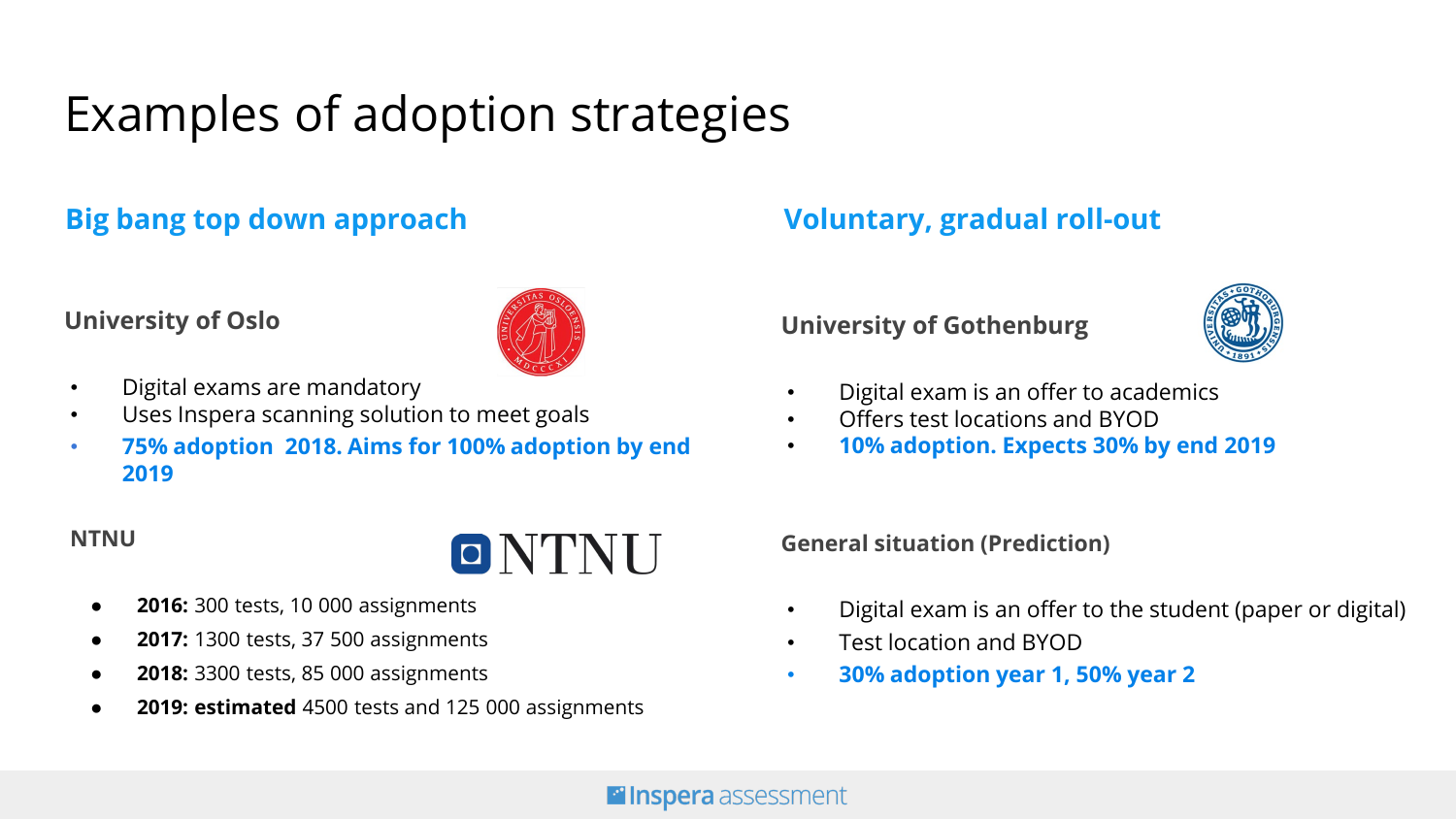# Examples of adoption strategies

#### **Big bang top down approach Voluntary, gradual roll-out**

#### **University of Oslo**



- Digital exams are mandatory
- Uses Inspera scanning solution to meet goals
- **75% adoption 2018. Aims for 100% adoption by end 2019**

#### **NTNU**



- **2016:** 300 tests, 10 000 assignments
- **2017:** 1300 tests, 37 500 assignments
- **2018:** 3300 tests, 85 000 assignments
- **2019: estimated** 4500 tests and 125 000 assignments

#### **University of Gothenburg**



- Digital exam is an offer to academics
- Offers test locations and BYOD
- **10% adoption. Expects 30% by end 2019**

**General situation (Prediction)**

- Digital exam is an offer to the student (paper or digital)
- Test location and BYOD
- **30% adoption year 1, 50% year 2**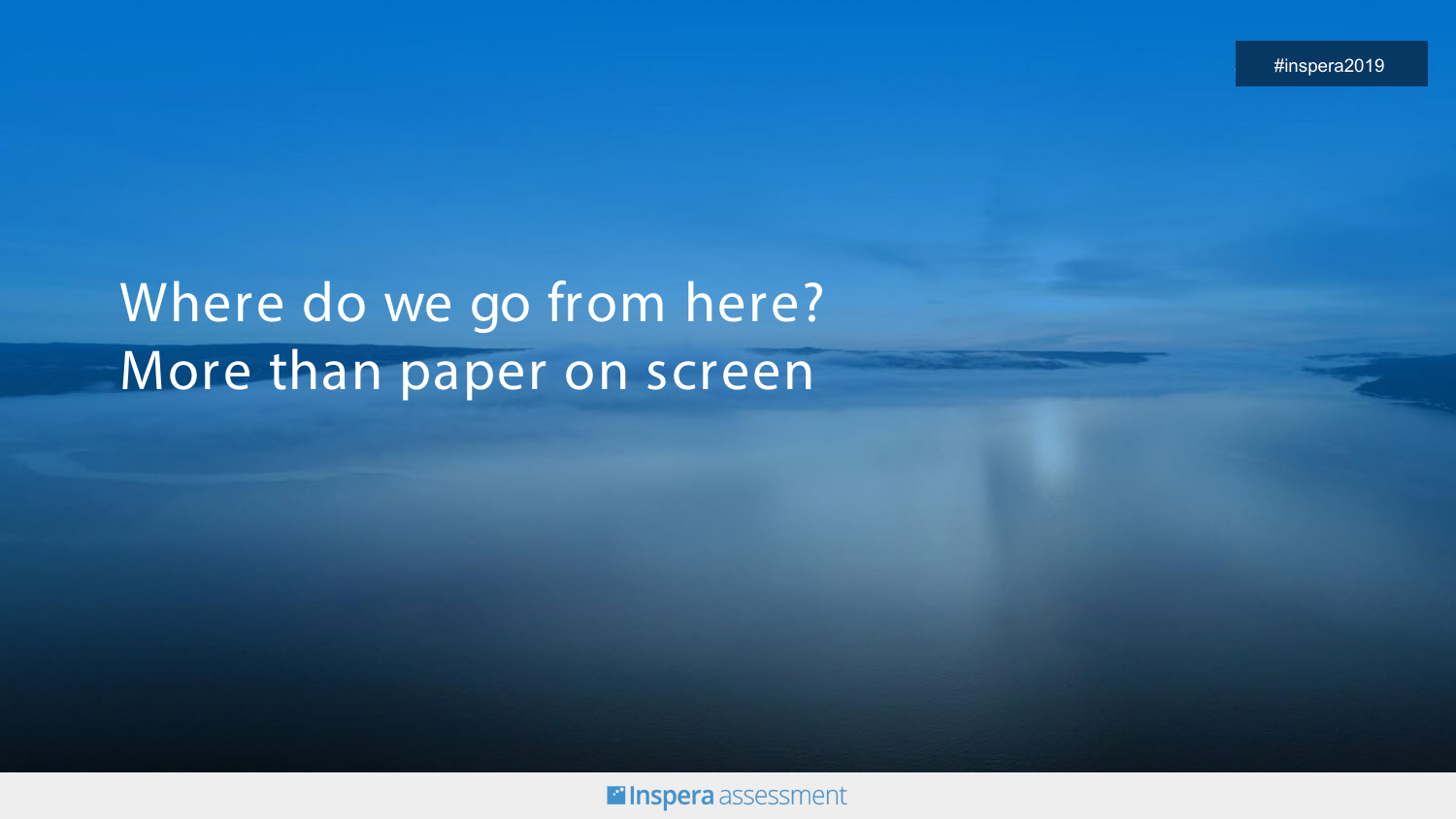#inspera2019

# Where do we go from here? More than paper on screen

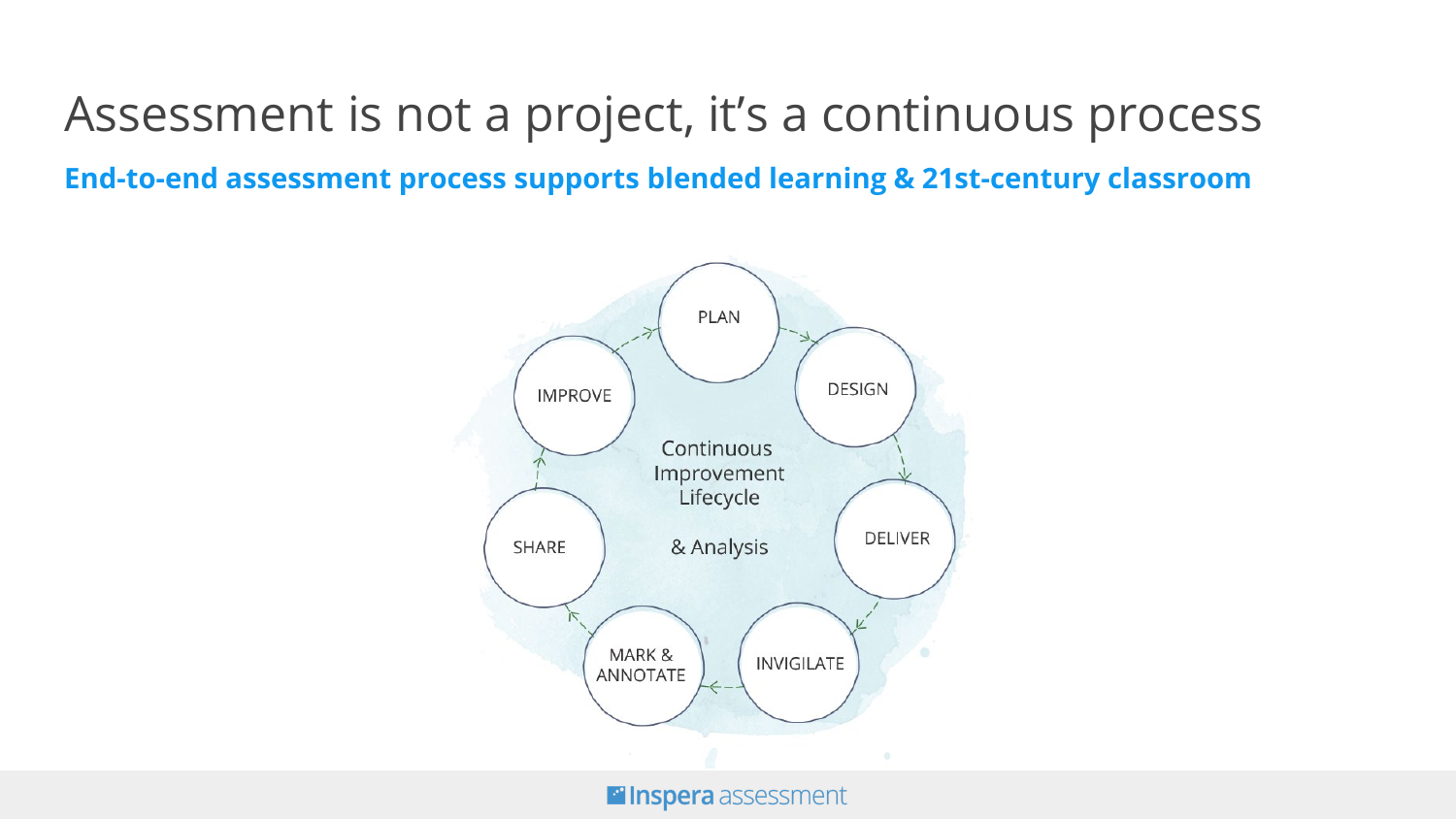Assessment is not a project, it's a continuous process **End-to-end assessment process supports blended learning & 21st-century classroom**

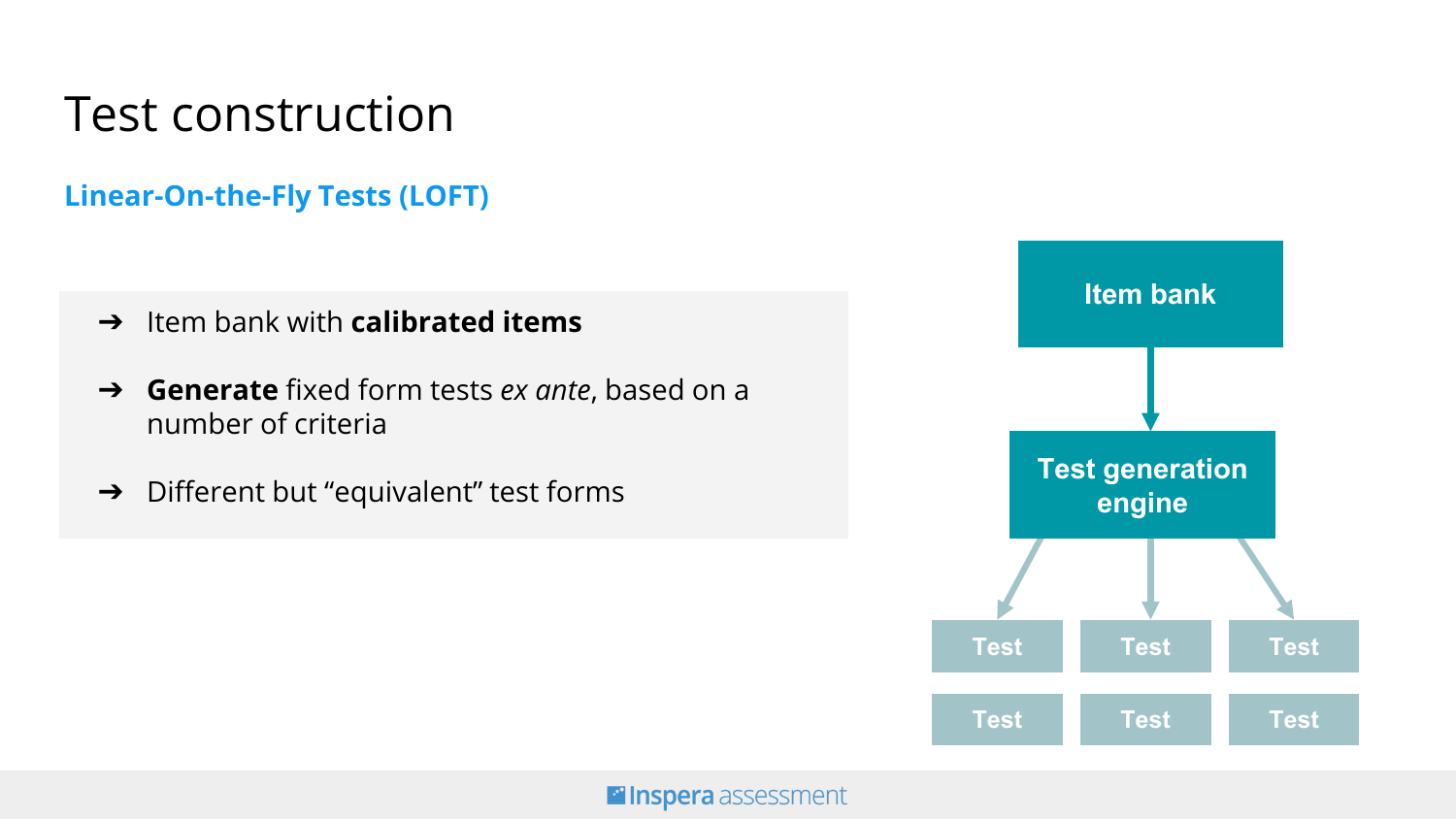### Test construction

#### **Linear-On-the-Fly Tests (LOFT)**

- ➔ Item bank with **calibrated items**
- ➔ **Generate** fixed form tests *ex ante*, based on a number of criteria
- ➔ Different but "equivalent" test forms

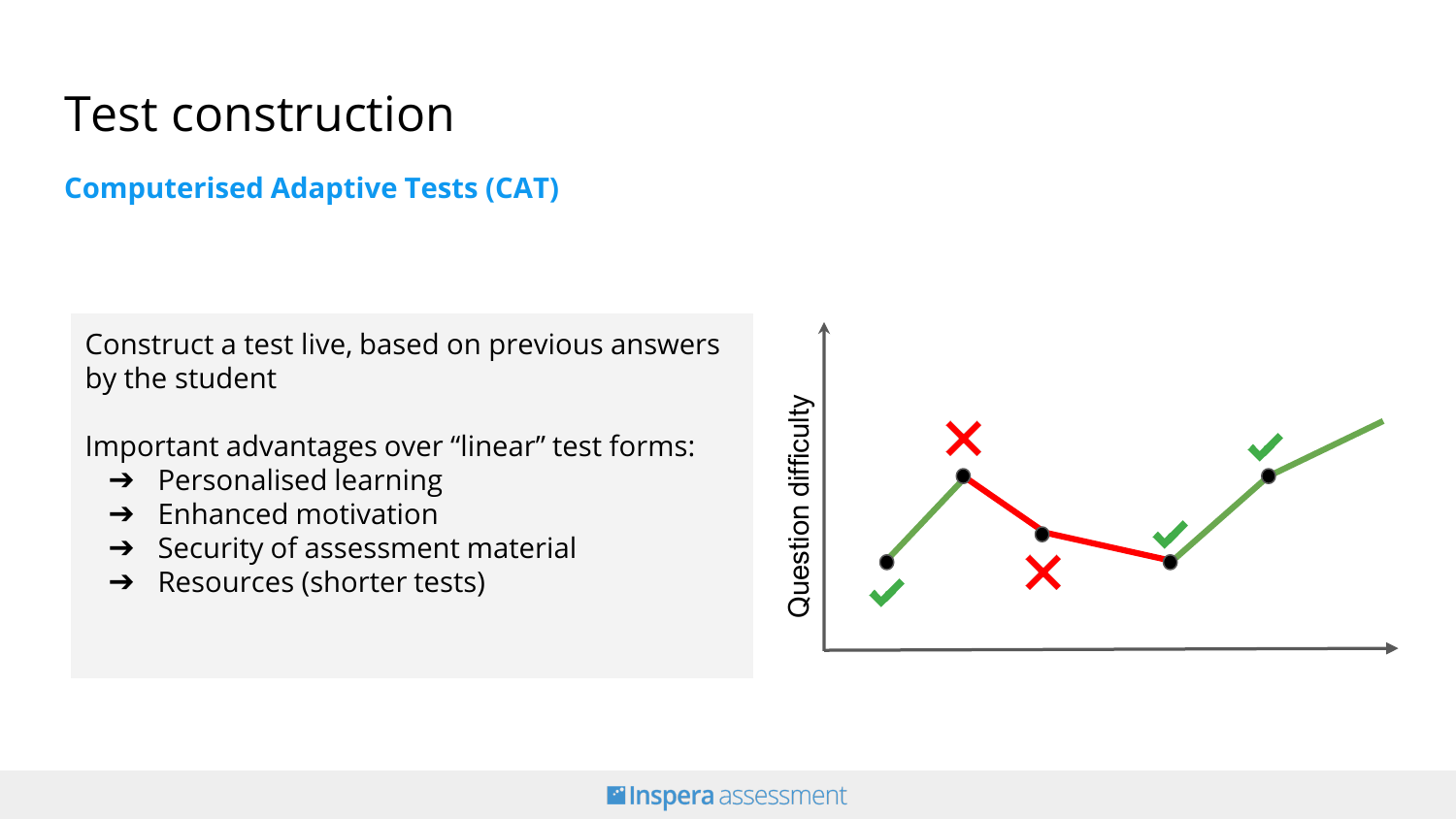### Test construction

#### **Computerised Adaptive Tests (CAT)**

Construct a test live, based on previous answers by the student

Important advantages over "linear" test forms:

- $\rightarrow$  Personalised learning
- $\rightarrow$  Enhanced motivation
- $\rightarrow$  Security of assessment material
- ➔ Resources (shorter tests)

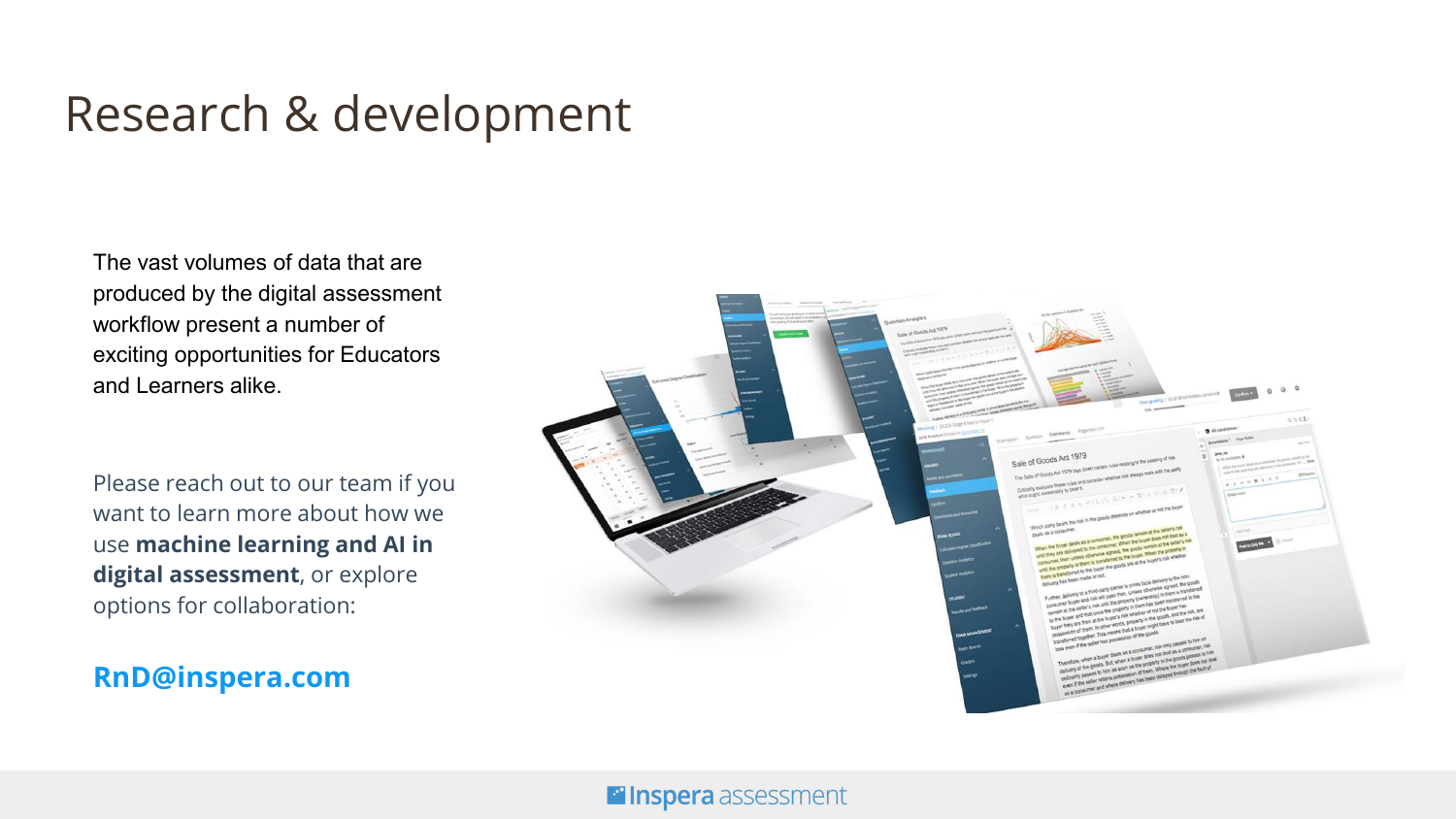### Research & development

The vast volumes of data that are produced by the digital assessment workflow present a number of exciting opportunities for Educators and Learners alike.

Please reach out to our team if you want to learn more about how we use **machine learning and AI in digital assessment**, or explore options for collaboration:

**RnD@inspera.com**